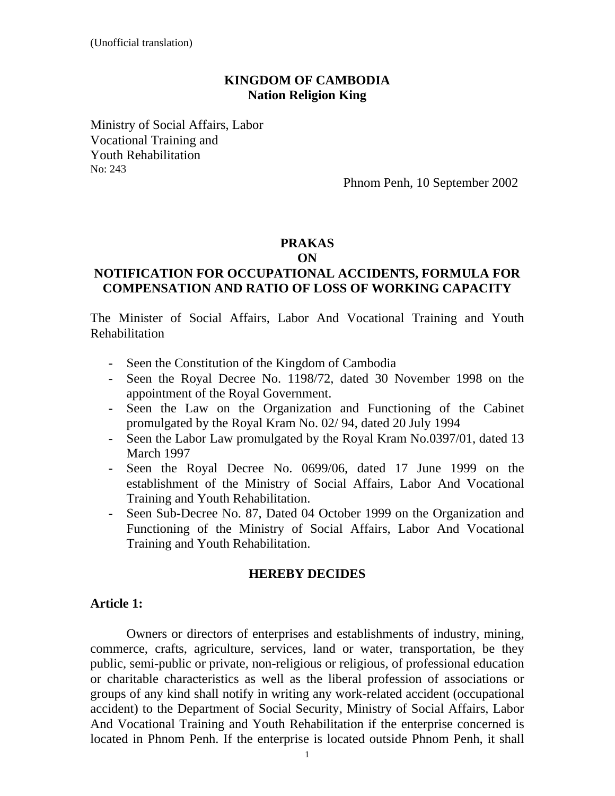#### **KINGDOM OF CAMBODIA Nation Religion King**

Ministry of Social Affairs, Labor Vocational Training and Youth Rehabilitation No: 243

Phnom Penh, 10 September 2002

#### **PRAKAS ON**

#### **NOTIFICATION FOR OCCUPATIONAL ACCIDENTS, FORMULA FOR COMPENSATION AND RATIO OF LOSS OF WORKING CAPACITY**

The Minister of Social Affairs, Labor And Vocational Training and Youth Rehabilitation

- Seen the Constitution of the Kingdom of Cambodia
- Seen the Royal Decree No. 1198/72, dated 30 November 1998 on the appointment of the Royal Government.
- Seen the Law on the Organization and Functioning of the Cabinet promulgated by the Royal Kram No. 02/ 94, dated 20 July 1994
- Seen the Labor Law promulgated by the Royal Kram No.0397/01, dated 13 March 1997
- Seen the Royal Decree No. 0699/06, dated 17 June 1999 on the establishment of the Ministry of Social Affairs, Labor And Vocational Training and Youth Rehabilitation.
- Seen Sub-Decree No. 87, Dated 04 October 1999 on the Organization and Functioning of the Ministry of Social Affairs, Labor And Vocational Training and Youth Rehabilitation.

#### **HEREBY DECIDES**

#### **Article 1:**

 Owners or directors of enterprises and establishments of industry, mining, commerce, crafts, agriculture, services, land or water, transportation, be they public, semi-public or private, non-religious or religious, of professional education or charitable characteristics as well as the liberal profession of associations or groups of any kind shall notify in writing any work-related accident (occupational accident) to the Department of Social Security, Ministry of Social Affairs, Labor And Vocational Training and Youth Rehabilitation if the enterprise concerned is located in Phnom Penh. If the enterprise is located outside Phnom Penh, it shall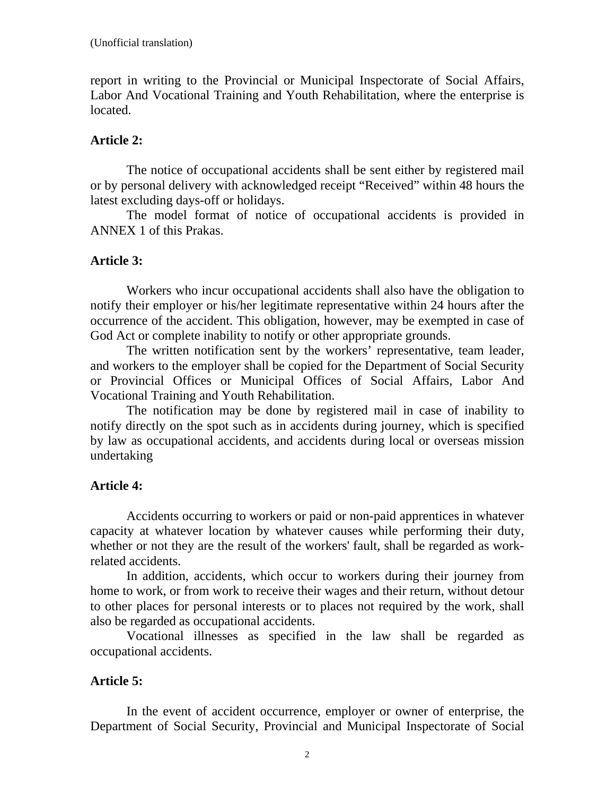report in writing to the Provincial or Municipal Inspectorate of Social Affairs, Labor And Vocational Training and Youth Rehabilitation, where the enterprise is located.

# **Article 2:**

 The notice of occupational accidents shall be sent either by registered mail or by personal delivery with acknowledged receipt "Received" within 48 hours the latest excluding days-off or holidays.

 The model format of notice of occupational accidents is provided in ANNEX 1 of this Prakas.

# **Article 3:**

 Workers who incur occupational accidents shall also have the obligation to notify their employer or his/her legitimate representative within 24 hours after the occurrence of the accident. This obligation, however, may be exempted in case of God Act or complete inability to notify or other appropriate grounds.

 The written notification sent by the workers' representative, team leader, and workers to the employer shall be copied for the Department of Social Security or Provincial Offices or Municipal Offices of Social Affairs, Labor And Vocational Training and Youth Rehabilitation.

 The notification may be done by registered mail in case of inability to notify directly on the spot such as in accidents during journey, which is specified by law as occupational accidents, and accidents during local or overseas mission undertaking

### **Article 4:**

 Accidents occurring to workers or paid or non-paid apprentices in whatever capacity at whatever location by whatever causes while performing their duty, whether or not they are the result of the workers' fault, shall be regarded as workrelated accidents.

 In addition, accidents, which occur to workers during their journey from home to work, or from work to receive their wages and their return, without detour to other places for personal interests or to places not required by the work, shall also be regarded as occupational accidents.

 Vocational illnesses as specified in the law shall be regarded as occupational accidents.

# **Article 5:**

 In the event of accident occurrence, employer or owner of enterprise, the Department of Social Security, Provincial and Municipal Inspectorate of Social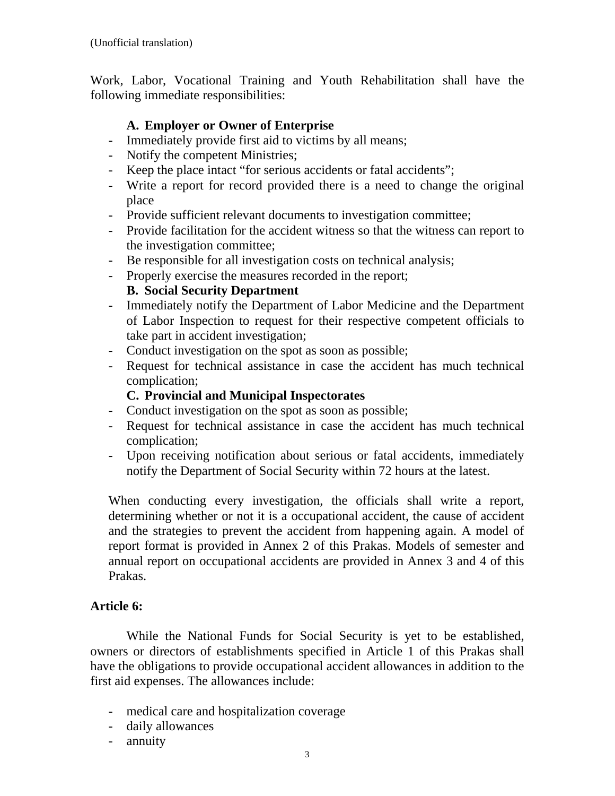Work, Labor, Vocational Training and Youth Rehabilitation shall have the following immediate responsibilities:

# **A. Employer or Owner of Enterprise**

- Immediately provide first aid to victims by all means;
- Notify the competent Ministries;
- Keep the place intact "for serious accidents or fatal accidents";
- Write a report for record provided there is a need to change the original place
- Provide sufficient relevant documents to investigation committee;
- Provide facilitation for the accident witness so that the witness can report to the investigation committee;
- Be responsible for all investigation costs on technical analysis;
- Properly exercise the measures recorded in the report;

#### **B. Social Security Department**

- Immediately notify the Department of Labor Medicine and the Department of Labor Inspection to request for their respective competent officials to take part in accident investigation;
- Conduct investigation on the spot as soon as possible;
- Request for technical assistance in case the accident has much technical complication;

#### **C. Provincial and Municipal Inspectorates**

- Conduct investigation on the spot as soon as possible;
- Request for technical assistance in case the accident has much technical complication;
- Upon receiving notification about serious or fatal accidents, immediately notify the Department of Social Security within 72 hours at the latest.

When conducting every investigation, the officials shall write a report, determining whether or not it is a occupational accident, the cause of accident and the strategies to prevent the accident from happening again. A model of report format is provided in Annex 2 of this Prakas. Models of semester and annual report on occupational accidents are provided in Annex 3 and 4 of this Prakas.

### **Article 6:**

 While the National Funds for Social Security is yet to be established, owners or directors of establishments specified in Article 1 of this Prakas shall have the obligations to provide occupational accident allowances in addition to the first aid expenses. The allowances include:

- medical care and hospitalization coverage
- daily allowances
- annuity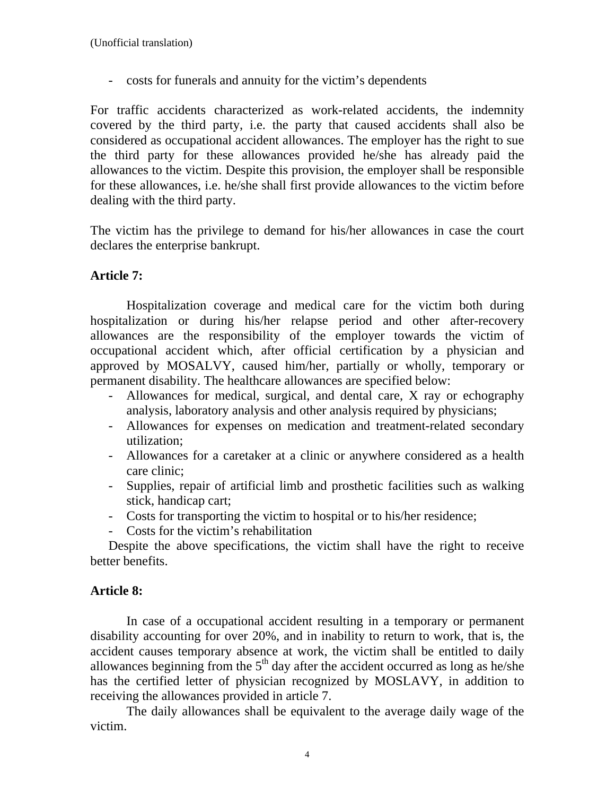- costs for funerals and annuity for the victim's dependents

For traffic accidents characterized as work-related accidents, the indemnity covered by the third party, i.e. the party that caused accidents shall also be considered as occupational accident allowances. The employer has the right to sue the third party for these allowances provided he/she has already paid the allowances to the victim. Despite this provision, the employer shall be responsible for these allowances, i.e. he/she shall first provide allowances to the victim before dealing with the third party.

The victim has the privilege to demand for his/her allowances in case the court declares the enterprise bankrupt.

# **Article 7:**

 Hospitalization coverage and medical care for the victim both during hospitalization or during his/her relapse period and other after-recovery allowances are the responsibility of the employer towards the victim of occupational accident which, after official certification by a physician and approved by MOSALVY, caused him/her, partially or wholly, temporary or permanent disability. The healthcare allowances are specified below:

- Allowances for medical, surgical, and dental care, X ray or echography analysis, laboratory analysis and other analysis required by physicians;
- Allowances for expenses on medication and treatment-related secondary utilization;
- Allowances for a caretaker at a clinic or anywhere considered as a health care clinic;
- Supplies, repair of artificial limb and prosthetic facilities such as walking stick, handicap cart;
- Costs for transporting the victim to hospital or to his/her residence;
- Costs for the victim's rehabilitation

Despite the above specifications, the victim shall have the right to receive better benefits.

### **Article 8:**

 In case of a occupational accident resulting in a temporary or permanent disability accounting for over 20%, and in inability to return to work, that is, the accident causes temporary absence at work, the victim shall be entitled to daily allowances beginning from the  $5<sup>th</sup>$  day after the accident occurred as long as he/she has the certified letter of physician recognized by MOSLAVY, in addition to receiving the allowances provided in article 7.

 The daily allowances shall be equivalent to the average daily wage of the victim.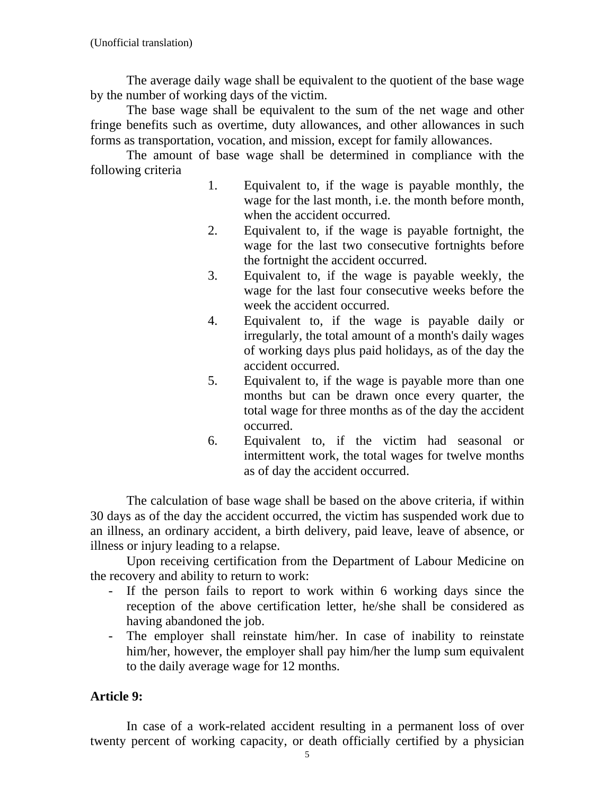The average daily wage shall be equivalent to the quotient of the base wage by the number of working days of the victim.

 The base wage shall be equivalent to the sum of the net wage and other fringe benefits such as overtime, duty allowances, and other allowances in such forms as transportation, vocation, and mission, except for family allowances.

 The amount of base wage shall be determined in compliance with the following criteria

- 1. Equivalent to, if the wage is payable monthly, the wage for the last month, i.e. the month before month, when the accident occurred.
- 2. Equivalent to, if the wage is payable fortnight, the wage for the last two consecutive fortnights before the fortnight the accident occurred.
- 3. Equivalent to, if the wage is payable weekly, the wage for the last four consecutive weeks before the week the accident occurred.
- 4. Equivalent to, if the wage is payable daily or irregularly, the total amount of a month's daily wages of working days plus paid holidays, as of the day the accident occurred.
- 5. Equivalent to, if the wage is payable more than one months but can be drawn once every quarter, the total wage for three months as of the day the accident occurred.
- 6. Equivalent to, if the victim had seasonal or intermittent work, the total wages for twelve months as of day the accident occurred.

The calculation of base wage shall be based on the above criteria, if within 30 days as of the day the accident occurred, the victim has suspended work due to an illness, an ordinary accident, a birth delivery, paid leave, leave of absence, or illness or injury leading to a relapse.

Upon receiving certification from the Department of Labour Medicine on the recovery and ability to return to work:

- If the person fails to report to work within 6 working days since the reception of the above certification letter, he/she shall be considered as having abandoned the job.
- The employer shall reinstate him/her. In case of inability to reinstate him/her, however, the employer shall pay him/her the lump sum equivalent to the daily average wage for 12 months.

# **Article 9:**

In case of a work-related accident resulting in a permanent loss of over twenty percent of working capacity, or death officially certified by a physician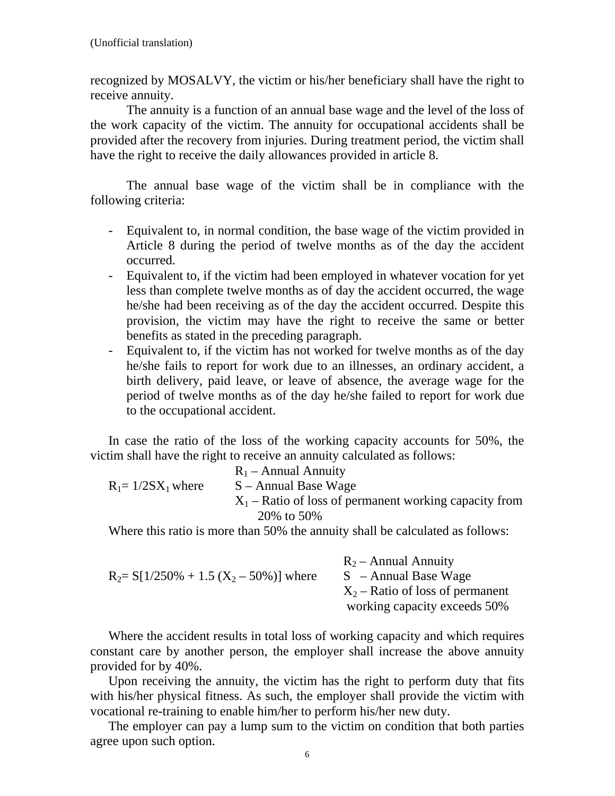recognized by MOSALVY, the victim or his/her beneficiary shall have the right to receive annuity.

 The annuity is a function of an annual base wage and the level of the loss of the work capacity of the victim. The annuity for occupational accidents shall be provided after the recovery from injuries. During treatment period, the victim shall have the right to receive the daily allowances provided in article 8.

 The annual base wage of the victim shall be in compliance with the following criteria:

- Equivalent to, in normal condition, the base wage of the victim provided in Article 8 during the period of twelve months as of the day the accident occurred.
- Equivalent to, if the victim had been employed in whatever vocation for yet less than complete twelve months as of day the accident occurred, the wage he/she had been receiving as of the day the accident occurred. Despite this provision, the victim may have the right to receive the same or better benefits as stated in the preceding paragraph.
- Equivalent to, if the victim has not worked for twelve months as of the day he/she fails to report for work due to an illnesses, an ordinary accident, a birth delivery, paid leave, or leave of absence, the average wage for the period of twelve months as of the day he/she failed to report for work due to the occupational accident.

In case the ratio of the loss of the working capacity accounts for 50%, the victim shall have the right to receive an annuity calculated as follows:

|                       | $R_1$ – Annual Annuity                                                        |
|-----------------------|-------------------------------------------------------------------------------|
| $R_1 = 1/2SX_1$ where | $S -$ Annual Base Wage                                                        |
|                       | $X_1$ – Ratio of loss of permanent working capacity from                      |
|                       | 20\% to 50\%                                                                  |
|                       | Where this ratio is more than 50% the annuity shall be calculated as follows: |

Where this ratio is more than 50% the annuity shall be calculated as follows:

|                                             | $R_2$ – Annual Annuity             |
|---------------------------------------------|------------------------------------|
| $R_2 = S[1/250\% + 1.5 (X_2 - 50\%)]$ where | $S$ – Annual Base Wage             |
|                                             | $X_2$ – Ratio of loss of permanent |
|                                             | working capacity exceeds 50%       |

Where the accident results in total loss of working capacity and which requires constant care by another person, the employer shall increase the above annuity provided for by 40%.

Upon receiving the annuity, the victim has the right to perform duty that fits with his/her physical fitness. As such, the employer shall provide the victim with vocational re-training to enable him/her to perform his/her new duty.

The employer can pay a lump sum to the victim on condition that both parties agree upon such option.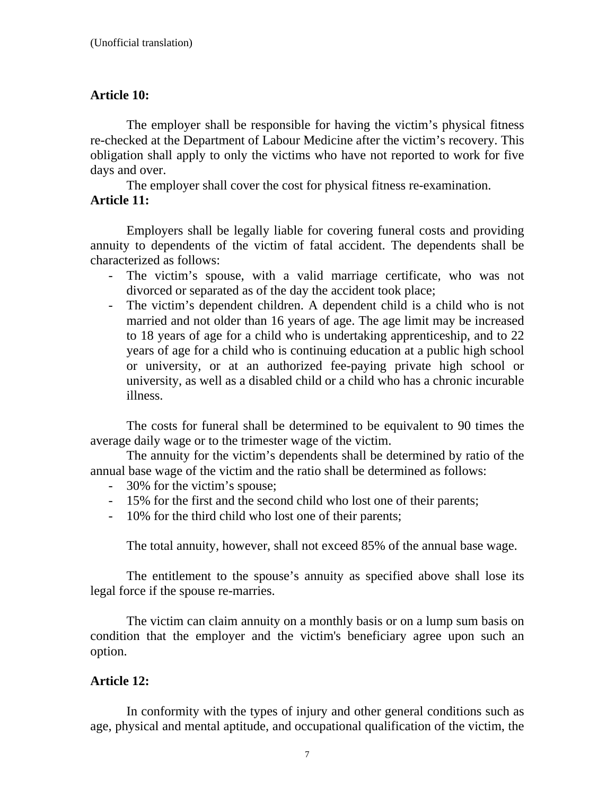# **Article 10:**

 The employer shall be responsible for having the victim's physical fitness re-checked at the Department of Labour Medicine after the victim's recovery. This obligation shall apply to only the victims who have not reported to work for five days and over.

 The employer shall cover the cost for physical fitness re-examination. **Article 11:** 

Employers shall be legally liable for covering funeral costs and providing annuity to dependents of the victim of fatal accident. The dependents shall be characterized as follows:

- The victim's spouse, with a valid marriage certificate, who was not divorced or separated as of the day the accident took place;
- The victim's dependent children. A dependent child is a child who is not married and not older than 16 years of age. The age limit may be increased to 18 years of age for a child who is undertaking apprenticeship, and to 22 years of age for a child who is continuing education at a public high school or university, or at an authorized fee-paying private high school or university, as well as a disabled child or a child who has a chronic incurable illness.

The costs for funeral shall be determined to be equivalent to 90 times the average daily wage or to the trimester wage of the victim.

 The annuity for the victim's dependents shall be determined by ratio of the annual base wage of the victim and the ratio shall be determined as follows:

- 30% for the victim's spouse;
- 15% for the first and the second child who lost one of their parents;
- 10% for the third child who lost one of their parents;

The total annuity, however, shall not exceed 85% of the annual base wage.

The entitlement to the spouse's annuity as specified above shall lose its legal force if the spouse re-marries.

 The victim can claim annuity on a monthly basis or on a lump sum basis on condition that the employer and the victim's beneficiary agree upon such an option.

### **Article 12:**

In conformity with the types of injury and other general conditions such as age, physical and mental aptitude, and occupational qualification of the victim, the